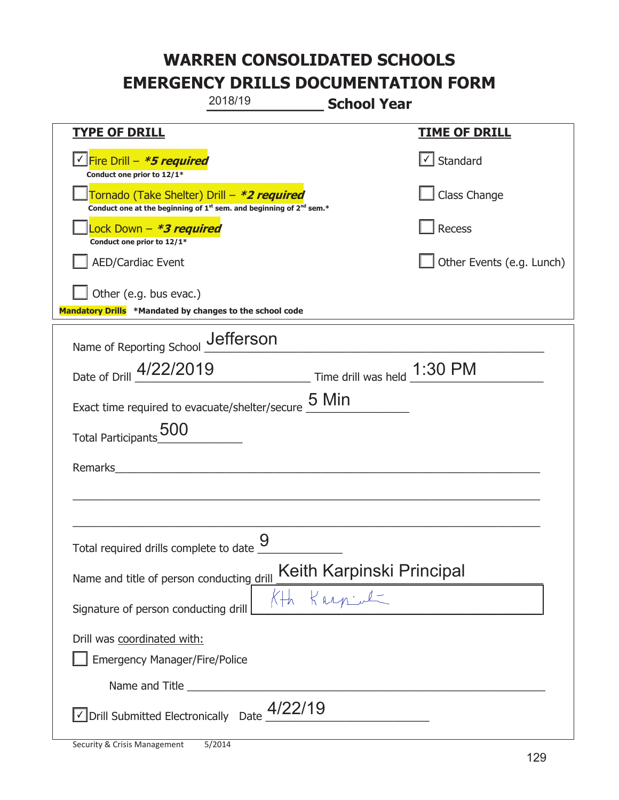|                                                                                                                                           | 2018/19 | <b>School Year</b> |                           |
|-------------------------------------------------------------------------------------------------------------------------------------------|---------|--------------------|---------------------------|
| <u>TYPE OF DRILL</u>                                                                                                                      |         |                    | <b>TIME OF DRILL</b>      |
| <u>√ Fire Drill – <i>*5 required</i></u><br>Conduct one prior to 12/1*                                                                    |         |                    | Standard                  |
| Tornado (Take Shelter) Drill – *2 required<br>Conduct one at the beginning of 1 <sup>st</sup> sem. and beginning of 2 <sup>nd</sup> sem.* |         |                    | Class Change              |
| Lock Down - *3 required<br>Conduct one prior to 12/1*                                                                                     |         |                    | Recess                    |
| <b>AED/Cardiac Event</b>                                                                                                                  |         |                    | Other Events (e.g. Lunch) |
| Other (e.g. bus evac.)<br>Mandatory Drills *Mandated by changes to the school code                                                        |         |                    |                           |
| Name of Reporting School Jefferson                                                                                                        |         |                    |                           |
| Date of Drill 4/22/2019 Time drill was held 1:30 PM                                                                                       |         |                    |                           |
| Exact time required to evacuate/shelter/secure $\underline{\mathsf{5}\ \mathsf{Min}}$                                                     |         |                    |                           |
| <b>Total Participants</b>                                                                                                                 |         |                    |                           |
| Remarks                                                                                                                                   |         |                    |                           |
|                                                                                                                                           |         |                    |                           |
| Total required drills complete to date                                                                                                    | 9       |                    |                           |
| Keith Karpinski Principal<br>The Kurpine C<br>Name and title of person conducting drill                                                   |         |                    |                           |
| Signature of person conducting drill                                                                                                      |         |                    |                           |
| Drill was coordinated with:<br><b>Emergency Manager/Fire/Police</b>                                                                       |         |                    |                           |
|                                                                                                                                           |         |                    |                           |
| $\vee$ Drill Submitted Electronically Date $\frac{4/22/19}{4}$                                                                            |         |                    |                           |

I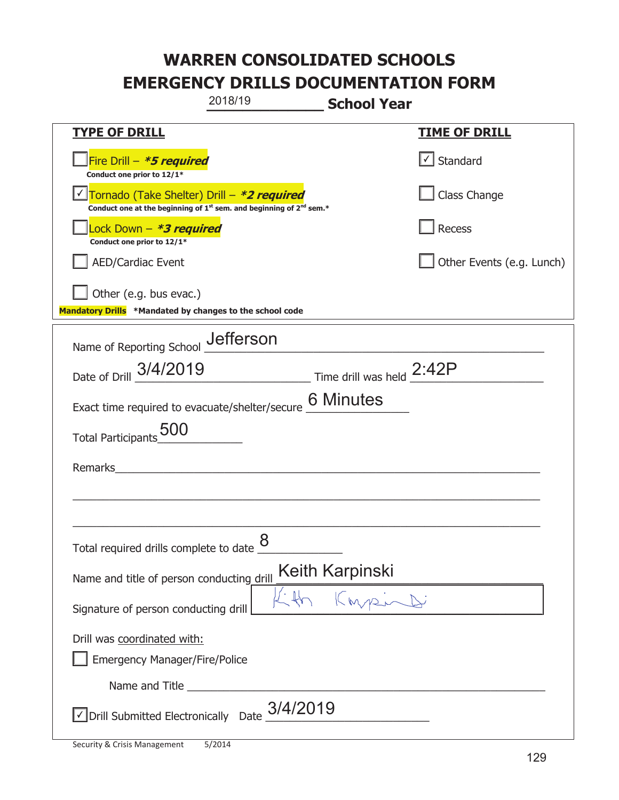|                                                                                    | 2018/19                                                                                     | <b>School Year</b> |                           |
|------------------------------------------------------------------------------------|---------------------------------------------------------------------------------------------|--------------------|---------------------------|
| <b>TYPE OF DRILL</b>                                                               |                                                                                             |                    | <u>TIME OF DRILL</u>      |
| Fire Drill - *5 required<br>Conduct one prior to 12/1*                             |                                                                                             |                    | √ Standard                |
| Tornado (Take Shelter) Drill – *2 required                                         | Conduct one at the beginning of 1 <sup>st</sup> sem. and beginning of 2 <sup>nd</sup> sem.* |                    | Class Change              |
| Lock Down - *3 required<br>Conduct one prior to 12/1*                              |                                                                                             |                    | Recess                    |
| <b>AED/Cardiac Event</b>                                                           |                                                                                             |                    | Other Events (e.g. Lunch) |
| Other (e.g. bus evac.)<br>Mandatory Drills *Mandated by changes to the school code |                                                                                             |                    |                           |
| Name of Reporting School __ defferson                                              |                                                                                             |                    |                           |
| Date of Drill 3/4/2019                                                             | $\frac{2.42P}{P}$ Time drill was held $\frac{2.42P}{P}$                                     |                    |                           |
| Exact time required to evacuate/shelter/secure                                     |                                                                                             | <b>6 Minutes</b>   |                           |
| <b>Total Participants</b>                                                          |                                                                                             |                    |                           |
| Remarks                                                                            |                                                                                             |                    |                           |
|                                                                                    |                                                                                             |                    |                           |
| Total required drills complete to date $\underline{\mathcal{8}}$                   |                                                                                             |                    |                           |
| Name and title of person conducting drill                                          |                                                                                             | Keith Karpinski    |                           |
| Signature of person conducting drill                                               |                                                                                             |                    |                           |
| Drill was coordinated with:<br><b>Emergency Manager/Fire/Police</b>                |                                                                                             |                    |                           |
|                                                                                    |                                                                                             |                    |                           |
| $\vee$ Drill Submitted Electronically Date $\frac{3}{4}/2019$                      |                                                                                             |                    |                           |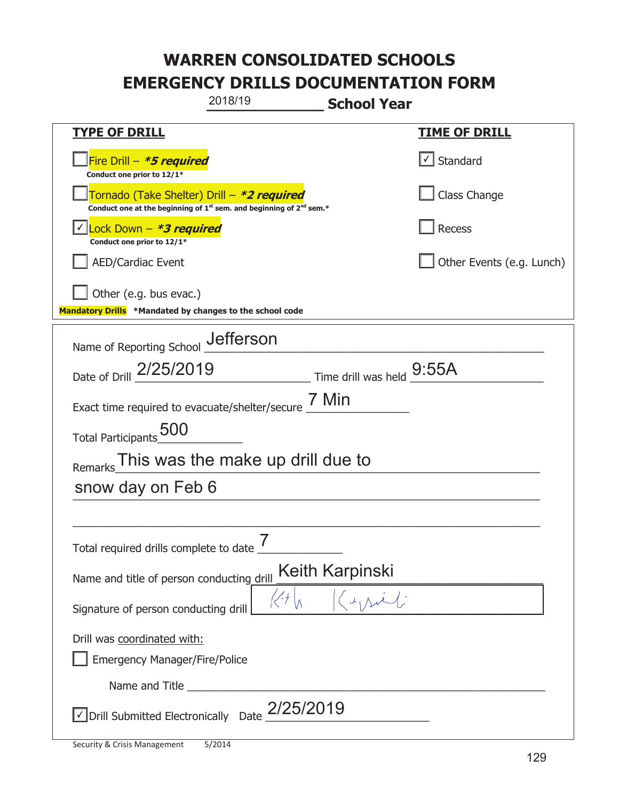|                                                                                    | 2018/19                                                                                     | <b>School Year</b> |                           |
|------------------------------------------------------------------------------------|---------------------------------------------------------------------------------------------|--------------------|---------------------------|
| <u>TYPE OF DRILL</u>                                                               |                                                                                             |                    | <b>TIME OF DRILL</b>      |
| Fire Drill - *5 required<br>Conduct one prior to 12/1*                             |                                                                                             |                    | √ Standard                |
| Tornado (Take Shelter) Drill – *2 required                                         | Conduct one at the beginning of 1 <sup>st</sup> sem. and beginning of 2 <sup>nd</sup> sem.* |                    | Class Change              |
| Lock Down - *3 required<br>Conduct one prior to 12/1*                              |                                                                                             |                    | Recess                    |
| <b>AED/Cardiac Event</b>                                                           |                                                                                             |                    | Other Events (e.g. Lunch) |
| Other (e.g. bus evac.)<br>Mandatory Drills *Mandated by changes to the school code |                                                                                             |                    |                           |
| Name of Reporting School _Jefferson                                                |                                                                                             |                    |                           |
| Date of Drill 2/25/2019                                                            | $\frac{9:55A}{2}$ Time drill was held $\frac{9:55A}{2}$                                     |                    |                           |
| Exact time required to evacuate/shelter/secure $\frac{7 \text{ Min}}{}$            |                                                                                             |                    |                           |
| Total Participants 500                                                             |                                                                                             |                    |                           |
| Remarks                                                                            | This was the make up drill due to                                                           |                    |                           |
| snow day on Feb 6                                                                  |                                                                                             |                    |                           |
|                                                                                    |                                                                                             |                    |                           |
| Total required drills complete to date                                             | 7                                                                                           |                    |                           |
| Name and title of person conducting drill                                          |                                                                                             | Keith Karpinski    |                           |
| Signature of person conducting drill                                               |                                                                                             |                    |                           |
| Drill was coordinated with:<br><b>Emergency Manager/Fire/Police</b>                |                                                                                             |                    |                           |
|                                                                                    |                                                                                             |                    |                           |
| $\vee$ Drill Submitted Electronically Date $2/25/2019$                             |                                                                                             |                    |                           |

T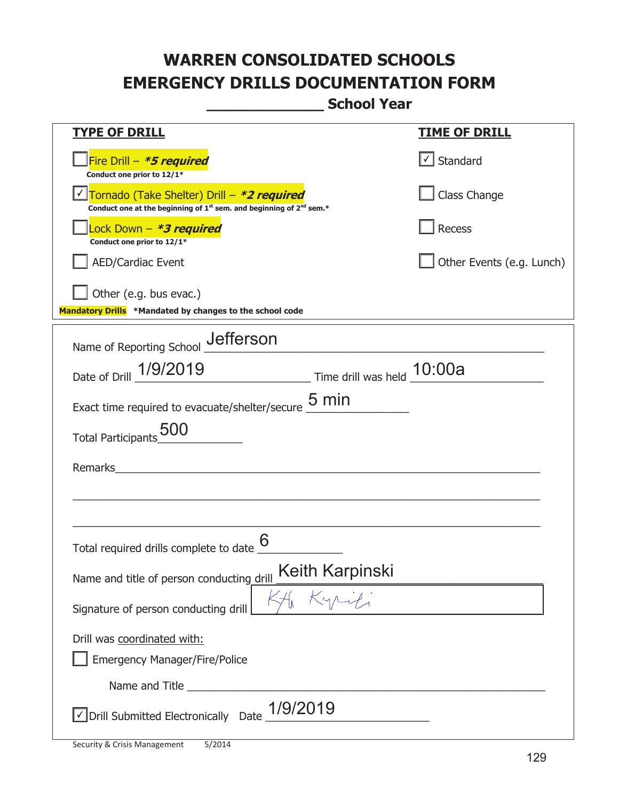**\_\_\_\_\_\_\_\_\_\_\_\_\_ School Year** 

| <b>TYPE OF DRILL</b>                                                                                                                      | <b>TIME OF DRILL</b>      |  |  |  |
|-------------------------------------------------------------------------------------------------------------------------------------------|---------------------------|--|--|--|
| Fire Drill - *5 required<br>Conduct one prior to 12/1*                                                                                    | $\cup$ Standard           |  |  |  |
| Tornado (Take Shelter) Drill – *2 required<br>Conduct one at the beginning of 1 <sup>st</sup> sem. and beginning of 2 <sup>nd</sup> sem.* | Class Change              |  |  |  |
| Lock Down - <b>*3 required</b><br>Conduct one prior to 12/1*                                                                              | Recess                    |  |  |  |
| <b>AED/Cardiac Event</b>                                                                                                                  | Other Events (e.g. Lunch) |  |  |  |
| Other (e.g. bus evac.)<br>Mandatory Drills *Mandated by changes to the school code                                                        |                           |  |  |  |
| Name of Reporting School _Jefferson                                                                                                       |                           |  |  |  |
|                                                                                                                                           |                           |  |  |  |
| Date of Drill 1/9/2019 Time drill was held 10:00a                                                                                         |                           |  |  |  |
| Exact time required to evacuate/shelter/secure 5 min                                                                                      |                           |  |  |  |
| Total Participants_500                                                                                                                    |                           |  |  |  |
| Remarks                                                                                                                                   |                           |  |  |  |
|                                                                                                                                           |                           |  |  |  |
|                                                                                                                                           |                           |  |  |  |
| Total required drills complete to date                                                                                                    |                           |  |  |  |
| Keith Karpinski<br>Name and title of person conducting drill                                                                              |                           |  |  |  |
| Signature of person conducting drill                                                                                                      |                           |  |  |  |
| Drill was coordinated with:                                                                                                               |                           |  |  |  |
| <b>Emergency Manager/Fire/Police</b>                                                                                                      |                           |  |  |  |
|                                                                                                                                           |                           |  |  |  |
| $\sqrt{}$ Drill Submitted Electronically Date $\_$ 1/9/2019                                                                               |                           |  |  |  |

T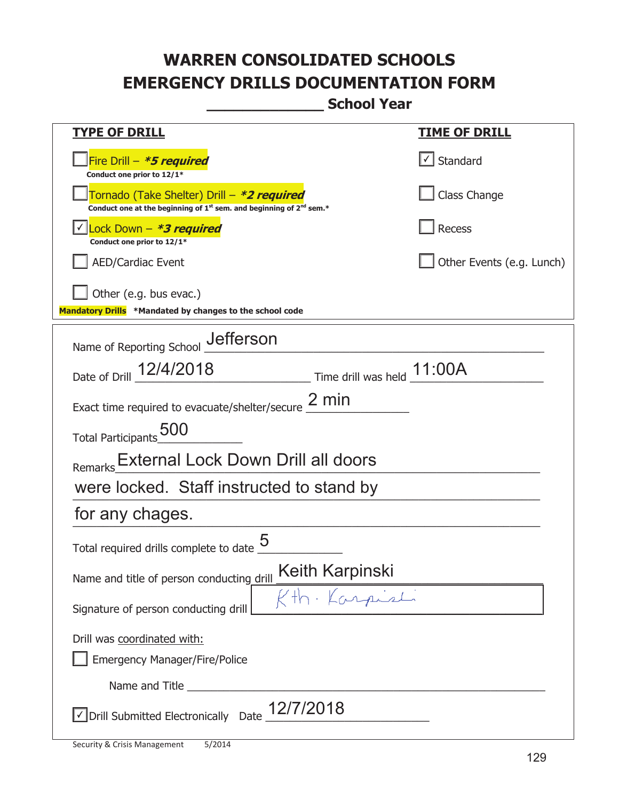**\_\_\_\_\_\_\_\_\_\_\_\_\_ School Year** 

| <u>TYPE OF DRILL</u>                                                                                                                      | <u>TIME OF DRILL</u>      |  |  |
|-------------------------------------------------------------------------------------------------------------------------------------------|---------------------------|--|--|
| Fire Drill - *5 required<br>Conduct one prior to 12/1*                                                                                    | $\cup$ Standard           |  |  |
| Tornado (Take Shelter) Drill – *2 required<br>Conduct one at the beginning of 1 <sup>st</sup> sem. and beginning of 2 <sup>nd</sup> sem.* | Class Change              |  |  |
| Lock Down - *3 required<br>Conduct one prior to 12/1*                                                                                     | Recess                    |  |  |
| <b>AED/Cardiac Event</b>                                                                                                                  | Other Events (e.g. Lunch) |  |  |
| Other (e.g. bus evac.)<br>Mandatory Drills *Mandated by changes to the school code                                                        |                           |  |  |
| Name of Reporting School _Jefferson                                                                                                       |                           |  |  |
| Date of Drill 12/4/2018 Time drill was held 11:00A                                                                                        |                           |  |  |
| Exact time required to evacuate/shelter/secure $\frac{2 \text{ min}}{2}$                                                                  |                           |  |  |
| Total Participants_500                                                                                                                    |                           |  |  |
| Remarks External Lock Down Drill all doors                                                                                                |                           |  |  |
| were locked. Staff instructed to stand by                                                                                                 |                           |  |  |
| for any chages.                                                                                                                           |                           |  |  |
| Total required drills complete to date                                                                                                    |                           |  |  |
| Keith Karpinski<br>Name and title of person conducting drill                                                                              |                           |  |  |
| Kth Karpist<br>Signature of person conducting drill                                                                                       |                           |  |  |
| Drill was coordinated with:                                                                                                               |                           |  |  |
| <b>Emergency Manager/Fire/Police</b>                                                                                                      |                           |  |  |
|                                                                                                                                           |                           |  |  |
| $\sqrt{\frac{1}{2}}$ Drill Submitted Electronically Date $\frac{12}{7}/2018$                                                              |                           |  |  |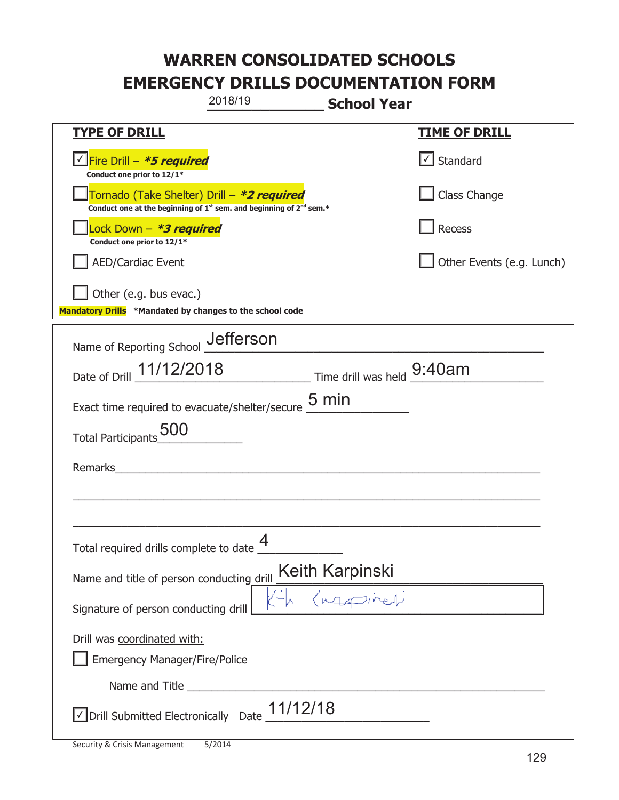|                                                                                    | 2018/19                                                                                     | <b>School Year</b>                 |                           |
|------------------------------------------------------------------------------------|---------------------------------------------------------------------------------------------|------------------------------------|---------------------------|
| <b>TYPE OF DRILL</b>                                                               |                                                                                             |                                    | <b>TIME OF DRILL</b>      |
| Fire Drill - <b>*5 required</b><br>Conduct one prior to 12/1*                      |                                                                                             |                                    | $\cup$ Standard           |
| Tornado (Take Shelter) Drill – *2 required                                         | Conduct one at the beginning of 1 <sup>st</sup> sem. and beginning of 2 <sup>nd</sup> sem.* |                                    | Class Change              |
| Lock Down - *3 required<br>Conduct one prior to 12/1*                              |                                                                                             |                                    | Recess                    |
| <b>AED/Cardiac Event</b>                                                           |                                                                                             |                                    | Other Events (e.g. Lunch) |
| Other (e.g. bus evac.)<br>Mandatory Drills *Mandated by changes to the school code |                                                                                             |                                    |                           |
| Name of Reporting School _Uefferson                                                |                                                                                             |                                    |                           |
| Date of Drill 11/12/2018 Time drill was held 9:40am                                |                                                                                             |                                    |                           |
| Exact time required to evacuate/shelter/secure $\underline{\mathsf{5}}$ min        |                                                                                             |                                    |                           |
| <b>Total Participants</b>                                                          |                                                                                             |                                    |                           |
| Remarks                                                                            |                                                                                             |                                    |                           |
|                                                                                    |                                                                                             |                                    |                           |
| Total required drills complete to date $\Box$                                      | 4                                                                                           |                                    |                           |
| Name and title of person conducting drill                                          |                                                                                             | Keith Karpinski<br>The Keyza Treet |                           |
| Signature of person conducting drill                                               |                                                                                             |                                    |                           |
| Drill was coordinated with:<br><b>Emergency Manager/Fire/Police</b>                |                                                                                             |                                    |                           |
|                                                                                    |                                                                                             |                                    |                           |
| $\sqrt{\frac{11}{12}}$ Drill Submitted Electronically Date $\frac{11}{12}$         |                                                                                             |                                    |                           |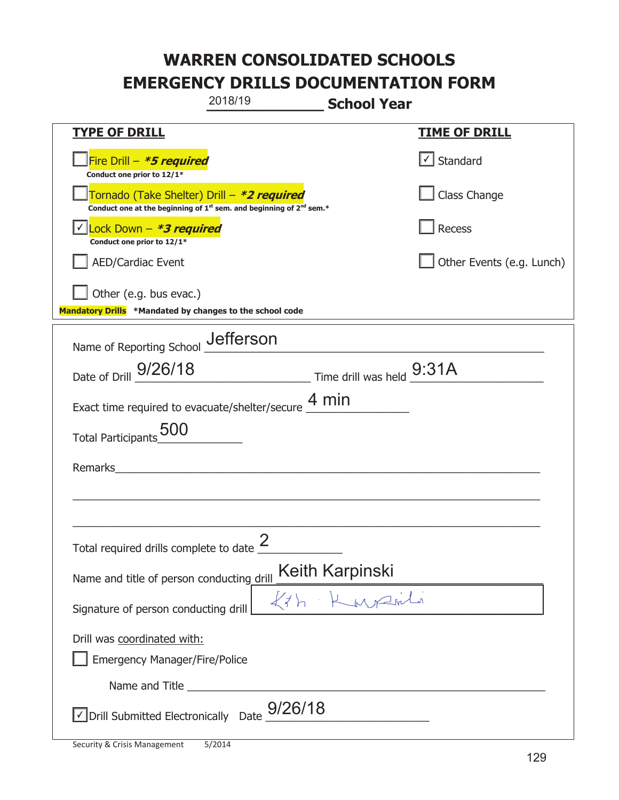|                                                                                                                       | 2018/19                                                 | <b>School Year</b> |                           |
|-----------------------------------------------------------------------------------------------------------------------|---------------------------------------------------------|--------------------|---------------------------|
| <b>TYPE OF DRILL</b>                                                                                                  |                                                         |                    | <u>TIME OF DRILL</u>      |
| Fire Drill - *5 required<br>Conduct one prior to 12/1*                                                                |                                                         |                    | √ Standard                |
| Tornado (Take Shelter) Drill – *2 required<br>Conduct one at the beginning of $1st$ sem. and beginning of $2nd$ sem.* |                                                         |                    | Class Change              |
| Lock Down - *3 required<br>Conduct one prior to 12/1*                                                                 |                                                         |                    | Recess                    |
| <b>AED/Cardiac Event</b>                                                                                              |                                                         |                    | Other Events (e.g. Lunch) |
| Other (e.g. bus evac.)<br>Mandatory Drills *Mandated by changes to the school code                                    |                                                         |                    |                           |
| Name of Reporting School Jefferson                                                                                    |                                                         |                    |                           |
| Date of Drill 9/26/18                                                                                                 | $\frac{9:31A}{2}$ Time drill was held $\frac{9:31A}{2}$ |                    |                           |
| Exact time required to evacuate/shelter/secure $\underline{4}\,\text{min}$                                            |                                                         |                    |                           |
| Total Participants <sub>_000</sub>                                                                                    |                                                         |                    |                           |
| Remarks                                                                                                               |                                                         |                    |                           |
|                                                                                                                       |                                                         |                    |                           |
| Total required drills complete to date $\leq$                                                                         | $\mathcal{P}$                                           |                    |                           |
| Name and title of person conducting drill                                                                             |                                                         | Keith Karpinski    |                           |
| Signature of person conducting drill                                                                                  |                                                         | Kih Kurzuli        |                           |
| Drill was coordinated with:<br><b>Emergency Manager/Fire/Police</b>                                                   |                                                         |                    |                           |
|                                                                                                                       |                                                         |                    |                           |
| $\vee$ Drill Submitted Electronically Date $\frac{9}{26}$ /18                                                         |                                                         |                    |                           |

T